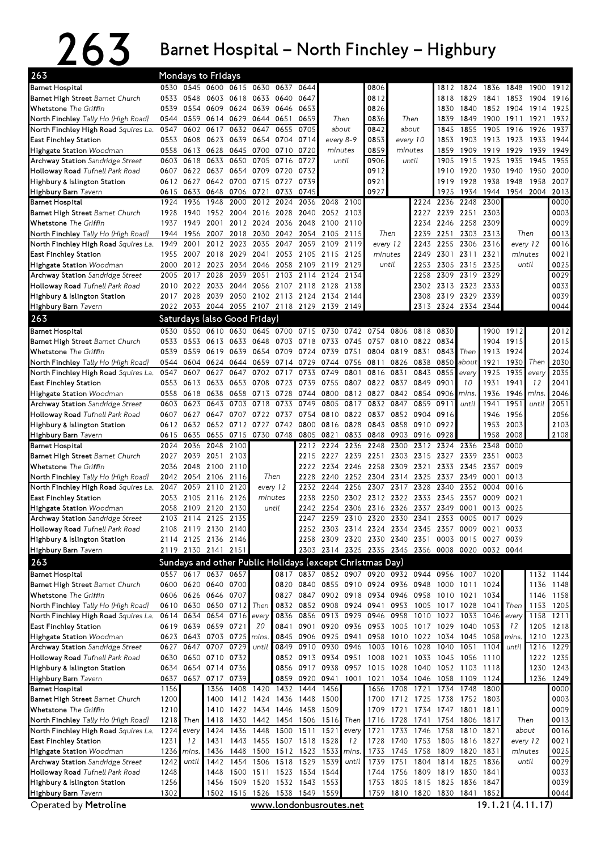## $263$  Barnet Hospital – North Finchley – Highbury

| 263                                                 |                                                                                                                |                | Mondays to Fridays                         |           |                |                                    |           |                                                          |           |                          |                |           |                          |                                                                                                        |                |           |           |                        |
|-----------------------------------------------------|----------------------------------------------------------------------------------------------------------------|----------------|--------------------------------------------|-----------|----------------|------------------------------------|-----------|----------------------------------------------------------|-----------|--------------------------|----------------|-----------|--------------------------|--------------------------------------------------------------------------------------------------------|----------------|-----------|-----------|------------------------|
| Barnet Hospital                                     |                                                                                                                |                |                                            |           |                | 0530 0545 0600 0615 0630 0637      | 0644      |                                                          |           | 0806                     |                |           |                          | 1812 1824 1836 1848 1900 1912                                                                          |                |           |           |                        |
| Barnet High Street Barnet Church                    |                                                                                                                |                | 0533 0548 0603 0618 0633 0640              |           |                |                                    | 0647      |                                                          |           | 0812                     |                |           | 1818                     | 1829                                                                                                   | 1841 1853      |           | 1904 1916 |                        |
| Whetstone The Griffin                               | 0539                                                                                                           |                | 0554 0609 0624 0639 0646                   |           |                |                                    | 0653      |                                                          |           | 0826                     |                |           | 1830                     | 1840                                                                                                   |                | 1852 1904 | 1914      | 1925                   |
| <b>North Finchley</b> Tally Ho (High Road)          | 0544                                                                                                           |                | 0559 0614 0629 0644 0651                   |           |                |                                    | 0659      |                                                          | Then      | 0836                     |                | Then      | 1839                     | 1849                                                                                                   | 1900 1911      |           | 1921      | 1932                   |
| North Finchley High Road Squires La.                | 0547                                                                                                           | 0602           | 0617                                       | 0632      | 0647           | 0655                               | 0705      |                                                          | about     | 0842                     |                | about     | 1845                     | 1855                                                                                                   | 1905           | 1916      | 1926      | 1937                   |
| East Finchley Station                               | 0553                                                                                                           | 0608           | 0623                                       |           | 0639 0654 0704 |                                    | 0714      |                                                          | every 8-9 | 0853                     |                | every 10  | 1853                     |                                                                                                        | 1903 1913 1923 |           | 1933      | 1944                   |
| Highgate Station Woodman                            | 0558                                                                                                           | 0613 0628      |                                            |           | 0645 0700 0710 |                                    | 0720      |                                                          | minutes   | 0859                     |                | minutes   | 1859                     | 1909                                                                                                   | 1919 1929      |           | 1939      | 1949                   |
| Archway Station Sandridge Street                    | 0603                                                                                                           | 0618 0633      |                                            | 0650      |                | 0705 0716                          | 0727      |                                                          | until     | 0906                     |                | until     | 1905                     | 1915                                                                                                   | 1925           | 1935      | 1945      | 1955                   |
| Holloway Road Tufnell Park Road                     |                                                                                                                |                | 0607 0622 0637 0654 0709 0720              |           |                |                                    | 0732      |                                                          |           | 0912                     |                |           | 1910                     | 1920                                                                                                   | 1930 1940      |           | 1950      | 2000                   |
| Highbury & Islington Station                        |                                                                                                                |                | 0612 0627 0642 0700 0715 0727              |           |                |                                    | 0739      |                                                          |           | 0921                     |                |           | 1919                     | 1928                                                                                                   | 1938           | 1948      | 1958      | 2007                   |
| Highbury Barn Tavern                                | 0615                                                                                                           | 0633<br>1936   | 0648 0706 0721                             | 2000      |                | 0733<br>2012 2024                  | 0745      | 2036 2048 2100                                           |           | 0927                     |                |           | 1925<br>2224 2236 2248   | 1934                                                                                                   | 1944<br>2300   |           | 1954 2004 | 2013<br>0000           |
| Barnet Hospital<br>Barnet High Street Barnet Church | 1924<br>1928                                                                                                   | 1940           | 1948                                       |           |                | 1952 2004 2016 2028                | 2040      |                                                          | 2052 2103 |                          |                | 2227      |                          | 2239 2251 2303                                                                                         |                |           |           | 0003                   |
| Whetstone The Griffin                               | 1937                                                                                                           | 1949           | 2001                                       |           | 2012 2024      | 2036                               | 2048      |                                                          | 2100 2110 |                          |                | 2234      | 2246                     | 2258                                                                                                   | 2309           |           |           | 0009                   |
| <b>North Finchley</b> Tally Ho (High Road)          | 1944                                                                                                           |                | 1956 2007 2018                             |           |                | 2030 2042 2054                     |           |                                                          | 2105 2115 |                          | Then           | 2239      | 2251                     |                                                                                                        | 2303 2313      |           | Then      | 0013                   |
| North Finchley High Road Squires La.                | 1949                                                                                                           | 2001           |                                            | 2012 2023 |                | 2035 2047                          | 2059      | 2109                                                     | 2119      |                          | every 12       | 2243      | 2255                     | 2306                                                                                                   | 2316           |           | every 12  | 0016                   |
| East Finchley Station                               |                                                                                                                | 1955 2007 2018 |                                            | 2029      | 2041           | 2053                               |           | 2105 2115 2125                                           |           |                          | minutes        | 2249      |                          | 2301 2311                                                                                              | 2321           |           | minutes   | 0021                   |
| Highgate Station Woodman                            | 2000                                                                                                           | 2012           | 2023                                       | 2034      |                | 2046 2058                          | 2109      | 2119 2129                                                |           |                          | until          | 2253      |                          | 2305 2315                                                                                              | 2325           |           | until     | 0025                   |
| Archway Station Sandridge Street                    | 2005                                                                                                           | 2017 2028      |                                            | 2039      |                | 2051 2103 2114                     |           |                                                          | 2124 2134 |                          |                | 2258      |                          | 2309 2319                                                                                              | 2329           |           |           | 0029                   |
| Holloway Road Tufnell Park Road                     | 2010                                                                                                           | 2022 2033      |                                            |           |                |                                    |           | 2044 2056 2107 2118 2128 2138                            |           |                          |                | 2302      | 2313 2323                |                                                                                                        | 2333           |           |           | 0033                   |
| Highbury & Islington Station                        |                                                                                                                | 2017 2028 2039 |                                            |           |                |                                    |           | 2050 2102 2113 2124 2134 2144                            |           |                          |                | 2308      |                          | 2319 2329                                                                                              | 2339           |           |           | 0039                   |
| Highbury Barn Tavern                                |                                                                                                                |                |                                            |           |                |                                    |           | 2022 2033 2044 2055 2107 2118 2129 2139 2149             |           |                          |                | 2313      |                          | 2324 2334 2344                                                                                         |                |           |           | 0044                   |
| 263                                                 |                                                                                                                |                | Saturdays (also Good Friday)               |           |                |                                    |           |                                                          |           |                          |                |           |                          |                                                                                                        |                |           |           |                        |
| Barnet Hospital                                     | 0530                                                                                                           |                | 0550 0610 0630                             |           |                | 0645 0700 0715                     |           |                                                          |           | 0730 0742 0754 0806 0818 |                |           | 0830                     |                                                                                                        |                | 1900 1912 |           | 2012                   |
| Barnet High Street Barnet Church                    |                                                                                                                |                |                                            |           |                |                                    |           | 0533 0553 0613 0633 0648 0703 0718 0733 0745             |           | 0757 0810 0822           |                |           | 0834                     |                                                                                                        | 1904           | 1915      |           | 2015                   |
| Whetstone The Griffin                               | 0539                                                                                                           | 0559 0619      |                                            | 0639      |                | 0654 0709                          | 0724      | 0739 0751                                                |           |                          | 0804 0819 0831 |           | 0843                     | Then                                                                                                   | 1913           | 1924      |           | 2024                   |
| <b>North Finchley</b> Tally Ho (High Road)          | 0544                                                                                                           | 0604           | 0624                                       | 0644      |                | 0659 0714                          | 0729      |                                                          | 0744 0756 | 0811                     | 0826           | 0838      | 0850                     | about                                                                                                  | 1921           |           | 1930 Then | 2030                   |
| North Finchley High Road <i>Squires La.</i>         | 0547                                                                                                           | 0607           | 0627                                       | 0647      |                | 0702 0717                          | 0733      |                                                          | 0749 0801 |                          | 0816 0831      | 0843      | 0855                     | every                                                                                                  | 1925           | 1935      | every     | 2035                   |
| East Finchley Station                               |                                                                                                                | 0553 0613      | 0633                                       |           |                | 0653 0708 0723 0739                |           |                                                          | 0755 0807 |                          | 0822 0837 0849 |           | 0901                     | 10                                                                                                     | 1931           | 1941      | 12        | 2041                   |
| Highgate Station Woodman                            |                                                                                                                | 0558 0618 0638 |                                            |           | 0658 0713 0728 |                                    |           | 0744 0800 0812 0827 0842 0854                            |           |                          |                |           | 0906                     | mins.                                                                                                  | 1936           | 1946      | mins.     | 2046                   |
| Archway Station Sandridge Street                    | 0603                                                                                                           | 0623           | 0643                                       | 0703      | 0718           | 0733                               | 0749      |                                                          | 0805 0817 | 0832                     | 0847           | 0859      | 0911                     | until                                                                                                  | 1941           | 1951      | until     | 2051                   |
| Holloway Road Tufnell Park Road                     |                                                                                                                |                | 0607 0627 0647 0707                        |           |                |                                    |           | 0722 0737 0754 0810 0822 0837                            |           |                          |                | 0852 0904 | 0916                     |                                                                                                        | 1946           | 1956      |           | 2056                   |
| Highbury & Islington Station                        |                                                                                                                |                |                                            |           |                | 0612 0632 0652 0712 0727 0742 0800 |           | 0816 0828                                                |           | 0843                     |                | 0858 0910 | 0922                     |                                                                                                        | 1953           | 2003      |           | 2103                   |
| Highbury Barn Tavern                                | 0615                                                                                                           | 0635           | 0655                                       | 0715      |                | 0730 0748                          | 0805      | 0821                                                     | 0833      | 0848                     | 0903           | 0916      | 0928                     |                                                                                                        | 1958           | 2008      |           | 2108                   |
| Barnet Hospital                                     | 2024                                                                                                           | 2036           | 2048                                       | 2100      |                |                                    | 2212      |                                                          | 2224 2236 | 2248                     | 2300           | 2312      | 2324                     | 2336                                                                                                   | 2348           | 0000      |           |                        |
| Barnet High Street Barnet Church                    |                                                                                                                |                | 2027 2039 2051 2103                        |           |                |                                    |           |                                                          |           |                          |                |           |                          | 2215 2227 2239 2251 2303 2315 2327 2339 2351                                                           |                | 0003      |           |                        |
| Whetstone The Griffin                               |                                                                                                                | 2036 2048 2100 |                                            | 2110      |                |                                    | 2222      |                                                          | 2234 2246 | 2258 2309 2321           |                |           | 2333                     | 2345 2357                                                                                              |                | 0009      |           |                        |
| <b>North Finchley</b> Tally Ho (High Road)          |                                                                                                                | 2042 2054 2106 |                                            | 2116      |                | Then                               | 2228      |                                                          |           | 2240 2252 2304           |                | 2314 2325 | 2337                     |                                                                                                        | 2349 0001      | 0013      |           |                        |
| North Finchley High Road Squires La.                | 2047                                                                                                           |                | 2059 2110                                  | 2120      |                | every 12                           | 2232      | 2244                                                     | 2256      | 2307                     | 2317           | 2328      | 2340                     | 2352                                                                                                   | 0004           | 0016      |           |                        |
| East Finchley Station                               | 2053                                                                                                           | 2105 2116      |                                            | 2126      |                | minutes                            | 2238      |                                                          | 2250 2302 | 2312 2322 2333           |                |           | 2345                     | 2357                                                                                                   | 0009 0021      |           |           |                        |
| Highgate Station Woodman                            |                                                                                                                |                | 2058 2109 2120 2130                        |           |                | until                              | 2242      |                                                          |           | 2254 2306 2316 2326 2337 |                |           |                          | 2349 0001                                                                                              | 0013 0025      |           |           |                        |
| Archway Station Sandridge Street                    |                                                                                                                |                | 2103 2114 2125                             | 2135      |                |                                    | 2247      |                                                          |           | 2259 2310 2320 2330 2341 |                |           | 2353                     |                                                                                                        | 0005 0017 0029 |           |           |                        |
| <b>Holloway Road</b> Tufnell Park Road              |                                                                                                                |                | 2108 2119 2130 2140                        |           |                |                                    |           |                                                          |           |                          |                |           |                          | 2252 2303 2314 2324 2334 2345 2357 0009 0021 0033                                                      |                |           |           |                        |
| Highbury & Islington Station                        |                                                                                                                |                | 2114 2125 2136 2146                        |           |                |                                    |           | 2258 2309 2320 2330 2340 2351                            |           |                          |                |           |                          | 0003 0015 0027 0039                                                                                    |                |           |           |                        |
| Highbury Barn Tavern                                |                                                                                                                |                | 2119 2130 2141 2151                        |           |                |                                    |           |                                                          |           |                          |                |           |                          | 2303 2314 2325 2335 2345 2356 0008 0020 0032 0044                                                      |                |           |           |                        |
| 263                                                 |                                                                                                                |                |                                            |           |                |                                    |           | Sundays and other Public Holidays (except Christmas Day) |           |                          |                |           |                          |                                                                                                        |                |           |           |                        |
| Barnet Hospital                                     |                                                                                                                |                | 0557 0617 0637 0657                        |           |                |                                    |           |                                                          |           |                          |                |           |                          | 0817 0837 0852 0907 0920 0932 0944 0956 1007 1020                                                      |                |           |           | 1132 1144              |
| Barnet High Street Barnet Church                    |                                                                                                                |                | 0600 0620 0640 0700                        |           |                |                                    |           |                                                          |           |                          |                |           |                          | 0820 0840 0855 0910 0924 0936 0948 1000 1011 1024                                                      |                |           |           | 1136 1148              |
| Whetstone The Griffin                               |                                                                                                                |                | 0606 0626 0646 0707                        |           |                |                                    |           |                                                          |           |                          |                |           |                          | 0827 0847 0902 0918 0934 0946 0958 1010 1021 1034                                                      |                |           |           | 1146 1158              |
| North Finchley Tally Ho (High Road)                 |                                                                                                                |                | 0610 0630 0650 0712                        |           | Then           |                                    |           |                                                          |           |                          |                |           |                          | 0832 0852 0908 0924 0941 0953 1005 1017 1028 1041                                                      |                | Then      |           | 1153 1205              |
| North Finchley High Road Squires La.                |                                                                                                                |                | 0614 0634 0654 0716                        |           | every          |                                    |           | 0836 0856 0913 0929                                      |           |                          | 0946 0958      | 1010      | 1022 1033                |                                                                                                        | 1046           | every     |           | 1158 1211              |
| East Finchley Station                               |                                                                                                                |                | 0619 0639 0659 0721                        |           | 20             |                                    |           | 0841 0901 0920 0936                                      |           | 0953 1005 1017 1029 1040 |                |           |                          |                                                                                                        | 1053           | 12        |           | 1205 1218              |
| Highgate Station Woodman                            |                                                                                                                |                | 0623 0643 0703 0725                        |           | mins.          |                                    |           | 0845 0906 0925 0941                                      |           |                          |                |           |                          | 0958 1010 1022 1034 1045 1058                                                                          |                | mins.     |           | 1210 1223              |
| Archway Station Sandridge Street                    |                                                                                                                |                | 0627 0647 0707 0729                        |           | until          |                                    |           | 0849 0910 0930 0946                                      |           | 1003                     | 1016 1028      |           | 1040 1051                |                                                                                                        | 1104           | until     |           | 1216 1229              |
| Holloway Road Tufnell Park Road                     |                                                                                                                |                | 0630 0650 0710 0732                        |           |                |                                    |           | 0852 0913 0934 0951                                      |           |                          |                |           |                          | 1008 1021 1033 1045 1056 1110                                                                          |                |           |           | 1222 1235              |
| Highbury & Islington Station                        |                                                                                                                |                | 0634 0654 0714 0736<br>0637 0657 0717 0739 |           |                |                                    |           |                                                          |           |                          |                |           |                          | 0856 0917 0938 0957 1015 1028 1040 1052 1103 1118<br>0859 0920 0941 1001 1021 1034 1046 1058 1109 1124 |                |           |           | 1230 1243<br>1236 1249 |
| Highbury Barn Tavern<br>Barnet Hospital             | 1156                                                                                                           |                | 1356                                       |           |                | 1408 1420 1432 1444                |           | 1456                                                     |           |                          |                |           | 1656 1708 1721 1734 1748 |                                                                                                        | 1800           |           |           | 0000                   |
| <b>Barnet High Street</b> Barnet Church             | 1200                                                                                                           |                | 1400                                       |           |                | 1412 1424 1436 1448 1500           |           |                                                          |           |                          |                |           |                          | 1700 1712 1725 1738 1752 1803                                                                          |                |           |           | 0003                   |
| Whetstone The Griffin                               | 1210                                                                                                           |                | 1410                                       |           |                | 1422 1434 1446 1458 1509           |           |                                                          |           |                          |                |           |                          | 1709 1721 1734 1747 1801 1811                                                                          |                |           |           | 0009                   |
| North Finchley Tally Ho (High Road)                 |                                                                                                                | 1218 Then      | 1418                                       |           |                |                                    |           | 1430 1442 1454 1506 1516                                 | Then      |                          | 1716 1728      | 1741      |                          | 1754 1806 1817                                                                                         |                |           | Then      | 0013                   |
| North Finchley High Road <i>Squires La.</i>         | 1224                                                                                                           | every          | 1424                                       | 1436      | 1448           |                                    | 1500 1511 | 1521                                                     | every     | 1721                     | 1733           | 1746      | 1758 1810                |                                                                                                        | 1821           |           | about     | 0016                   |
| East Finchley Station                               | 1231                                                                                                           | 12             | 1431                                       |           |                | 1443 1455 1507 1518 1528           |           |                                                          | 12        | 1728                     |                |           |                          | 1740 1753 1805 1816 1827                                                                               |                |           | every 12  | 0021                   |
| Highgate Station Woodman                            | 1236                                                                                                           | mins.          | 1436                                       | 1448      |                |                                    |           | 1500 1512 1523 1533 mins.                                |           |                          |                |           | 1733 1745 1758 1809 1820 |                                                                                                        | 1831           |           | minutes   | 0025                   |
| Archway Station Sandridge Street                    | 1242                                                                                                           | until          | 1442                                       | 1454      |                | 1506 1518 1529                     |           | 1539                                                     | until     | 1739                     |                | 1751 1804 | 1814                     | 1825                                                                                                   | 1836           |           | until     | 0029                   |
| Holloway Road Tufnell Park Road                     | 1248                                                                                                           |                | 1448                                       |           |                | 1500 1511 1523 1534 1544           |           |                                                          |           |                          |                |           |                          | 1744 1756 1809 1819 1830 1841                                                                          |                |           |           | 0033                   |
| Highbury & Islington Station                        | 1256                                                                                                           |                |                                            |           |                | 1456 1509 1520 1532 1543 1553      |           |                                                          |           |                          |                |           |                          | 1753 1805 1815 1825 1836 1847                                                                          |                |           |           | 0039                   |
| Highbury Barn Tavern                                | 1302                                                                                                           |                |                                            |           |                |                                    |           |                                                          |           |                          |                |           |                          |                                                                                                        |                |           |           | 0044                   |
| Operated by Metroline                               | 1502 1515 1526 1538 1549 1559<br>1759 1810 1820 1830 1841 1852<br>19.1.21 (4.11.17)<br>www.londonbusroutes.net |                |                                            |           |                |                                    |           |                                                          |           |                          |                |           |                          |                                                                                                        |                |           |           |                        |